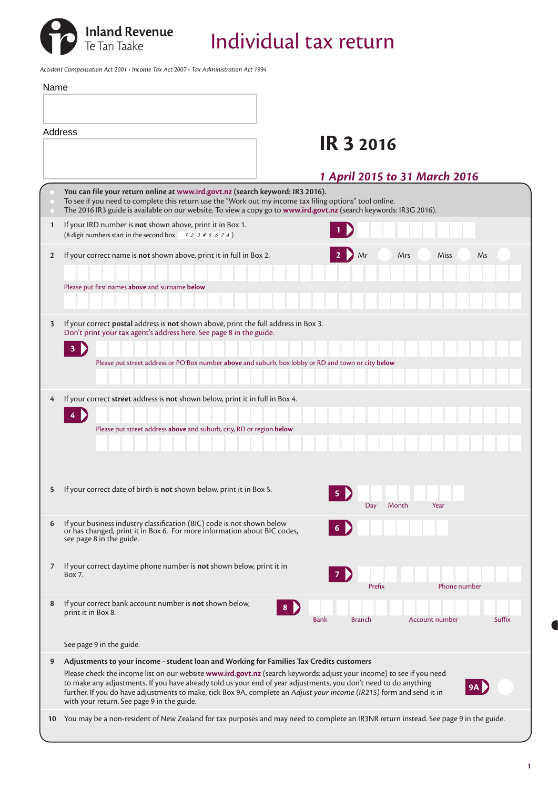Inland Revenue<br>Te Tari Taake **Individual tax return** 

*Accident Compensation Act 2001 • Income Tax Act 2007 • Tax Administration Act 1994*

| Name |                                                                                                                                                                                                                                                                                                                                                                                                                                                                                                            |
|------|------------------------------------------------------------------------------------------------------------------------------------------------------------------------------------------------------------------------------------------------------------------------------------------------------------------------------------------------------------------------------------------------------------------------------------------------------------------------------------------------------------|
|      |                                                                                                                                                                                                                                                                                                                                                                                                                                                                                                            |
|      | Address                                                                                                                                                                                                                                                                                                                                                                                                                                                                                                    |
|      | <b>IR 3 2016</b>                                                                                                                                                                                                                                                                                                                                                                                                                                                                                           |
|      | 1 April 2015 to 31 March 2016                                                                                                                                                                                                                                                                                                                                                                                                                                                                              |
|      | You can file your return online at www.ird.govt.nz (search keyword: IR3 2016).<br>To see if you need to complete this return use the "Work out my income tax filing options" tool online.<br>The 2016 IR3 guide is available on our website. To view a copy go to www.ird.govt.nz (search keywords: IR3G 2016).                                                                                                                                                                                            |
| 1    | If your IRD number is not shown above, print it in Box 1.<br>(8 digit numbers start in the second box $\begin{array}{cc} 1 & 2 & 3 & 4 & 5 & 6 & 7 & 8 \end{array}$ )                                                                                                                                                                                                                                                                                                                                      |
| 2    | If your correct name is not shown above, print it in full in Box 2.<br>Mr<br>Mrs<br>Miss<br>Ms                                                                                                                                                                                                                                                                                                                                                                                                             |
|      | Please put first names above and surname below                                                                                                                                                                                                                                                                                                                                                                                                                                                             |
| 3    | If your correct <b>postal</b> address is <b>not</b> shown above, print the full address in Box 3.<br>Don't print your tax agent's address here. See page 8 in the guide.<br>3                                                                                                                                                                                                                                                                                                                              |
|      | Please put street address or PO Box number above and suburb, box lobby or RD and town or city below                                                                                                                                                                                                                                                                                                                                                                                                        |
| 4    | If your correct street address is not shown below, print it in full in Box 4.<br>4 D                                                                                                                                                                                                                                                                                                                                                                                                                       |
|      | Please put street address above and suburb, city, RD or region below                                                                                                                                                                                                                                                                                                                                                                                                                                       |
| 5    | If your correct date of birth is not shown below, print it in Box 5.<br>5<br>Year<br>Day<br>Month                                                                                                                                                                                                                                                                                                                                                                                                          |
| 6    | If your business industry classification (BIC) code is not shown below<br>or has changed, print it in Box 6. For more information about BIC codes,<br>see page 8 in the guide.                                                                                                                                                                                                                                                                                                                             |
| 7    | If your correct daytime phone number is not shown below, print it in<br>Box 7.<br>7<br>Prefix<br>Phone number                                                                                                                                                                                                                                                                                                                                                                                              |
| 8    | If your correct bank account number is not shown below,<br>8 <sub>1</sub><br>print it in Box 8.<br><b>Branch</b><br>Account number<br>Suffix<br>Bank                                                                                                                                                                                                                                                                                                                                                       |
|      | See page 9 in the guide.                                                                                                                                                                                                                                                                                                                                                                                                                                                                                   |
| 9    | Adjustments to your income - student loan and Working for Families Tax Credits customers<br>Please check the income list on our website www.ird.govt.nz (search keywords: adjust your income) to see if you need<br>to make any adjustments. If you have already told us your end of year adjustments, you don't need to do anything<br>further. If you do have adjustments to make, tick Box 9A, complete an Adjust your income (IR215) form and send it in<br>with your return. See page 9 in the guide. |
| 10   | You may be a non-resident of New Zealand for tax purposes and may need to complete an IR3NR return instead. See page 9 in the guide.                                                                                                                                                                                                                                                                                                                                                                       |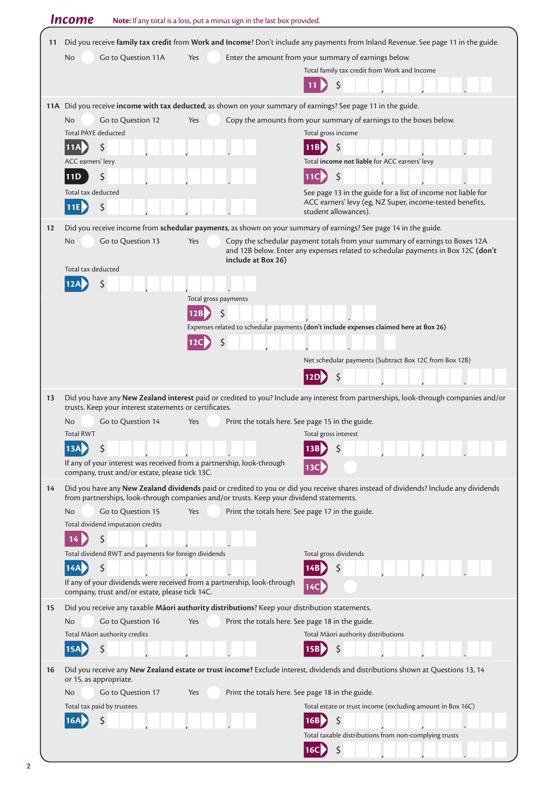|    | <b>Income</b>                                                         | Note: If any total is a loss, put a minus sign in the last box provided.                                                                                                                                                        |
|----|-----------------------------------------------------------------------|---------------------------------------------------------------------------------------------------------------------------------------------------------------------------------------------------------------------------------|
| 11 |                                                                       | Did you receive family tax credit from Work and Income? Don't include any payments from Inland Revenue. See page 11 in the guide.                                                                                               |
|    | No<br>Go to Question 11A                                              | Enter the amount from your summary of earnings below.<br>Yes                                                                                                                                                                    |
|    |                                                                       | Total family tax credit from Work and Income                                                                                                                                                                                    |
|    |                                                                       | \$<br>11                                                                                                                                                                                                                        |
|    |                                                                       | 11A Did you receive income with tax deducted, as shown on your summary of earnings? See page 11 in the guide.                                                                                                                   |
|    | Go to Question 12<br>No                                               | Copy the amounts from your summary of earnings to the boxes below.<br>Yes                                                                                                                                                       |
|    | <b>Total PAYE deducted</b>                                            | Total gross income                                                                                                                                                                                                              |
|    | \$<br><b>11AD</b>                                                     |                                                                                                                                                                                                                                 |
|    | ACC earners' levy                                                     | Total income not liable for ACC earners' levy                                                                                                                                                                                   |
|    | \$<br>11D                                                             | \$<br>11C                                                                                                                                                                                                                       |
|    | Total tax deducted                                                    | See page 13 in the guide for a list of income not liable for<br>ACC earners' levy (eg, NZ Super, income-tested benefits,                                                                                                        |
|    | \$<br>11E                                                             | student allowances).                                                                                                                                                                                                            |
| 12 |                                                                       | Did you receive income from schedular payments, as shown on your summary of earnings? See page 14 in the guide.                                                                                                                 |
|    | Go to Question 13<br>No<br>Total tax deducted                         | Copy the schedular payment totals from your summary of earnings to Boxes 12A<br>Yes<br>and 12B below. Enter any expenses related to schedular payments in Box 12C (don't<br>include at Box 26)                                  |
|    |                                                                       |                                                                                                                                                                                                                                 |
|    |                                                                       | Total gross payments                                                                                                                                                                                                            |
|    |                                                                       | 12B<br>S                                                                                                                                                                                                                        |
|    |                                                                       | Expenses related to schedular payments (don't include expenses claimed here at Box 26)                                                                                                                                          |
|    |                                                                       | \$<br>12C                                                                                                                                                                                                                       |
|    |                                                                       | Net schedular payments (Subtract Box 12C from Box 12B)                                                                                                                                                                          |
|    |                                                                       | S                                                                                                                                                                                                                               |
| 13 |                                                                       | Did you have any New Zealand interest paid or credited to you? Include any interest from partnerships, look-through companies and/or                                                                                            |
|    | trusts. Keep your interest statements or certificates.                |                                                                                                                                                                                                                                 |
|    | Go to Question 14<br>No.<br><b>Total RWT</b>                          | Print the totals here. See page 15 in the guide.<br>Yes<br>Total gross interest                                                                                                                                                 |
|    | 13A<br>Ś                                                              | Ś                                                                                                                                                                                                                               |
|    | If any of your interest was received from a partnership, look-through |                                                                                                                                                                                                                                 |
|    | company, trust and/or estate, please tick 13C.                        | 13C                                                                                                                                                                                                                             |
| 14 |                                                                       | Did you have any New Zealand dividends paid or credited to you or did you receive shares instead of dividends? Include any dividends<br>from partnerships, look-through companies and/or trusts. Keep your dividend statements. |
|    | Go to Question 15<br>N <sub>o</sub>                                   | Yes<br>Print the totals here. See page 17 in the guide.                                                                                                                                                                         |
|    | Total dividend imputation credits                                     |                                                                                                                                                                                                                                 |
|    | \$                                                                    |                                                                                                                                                                                                                                 |
|    | Total dividend RWT and payments for foreign dividends                 | Total gross dividends                                                                                                                                                                                                           |
|    | 14A<br>$\zeta$                                                        |                                                                                                                                                                                                                                 |
|    | company, trust and/or estate, please tick 14C.                        | If any of your dividends were received from a partnership, look-through<br>14C                                                                                                                                                  |
| 15 |                                                                       | Did you receive any taxable Maori authority distributions? Keep your distribution statements.                                                                                                                                   |
|    | Go to Question 16<br>No                                               | Print the totals here. See page 18 in the guide.<br>Yes                                                                                                                                                                         |
|    | Total Māori authority credits                                         | Total Māori authority distributions                                                                                                                                                                                             |
|    | Ś<br>15A                                                              |                                                                                                                                                                                                                                 |
| 16 | or 15, as appropriate.                                                | Did you receive any New Zealand estate or trust income? Exclude interest, dividends and distributions shown at Questions 13, 14                                                                                                 |
|    | Go to Question 17<br>No                                               | Print the totals here. See page 18 in the guide.<br>Yes                                                                                                                                                                         |
|    | Total tax paid by trustees                                            | Total estate or trust income (excluding amount in Box 16C)                                                                                                                                                                      |
|    | Ś                                                                     | $\zeta$<br>16B                                                                                                                                                                                                                  |
|    |                                                                       | Total taxable distributions from non-complying trusts                                                                                                                                                                           |
|    |                                                                       | \$<br>16C                                                                                                                                                                                                                       |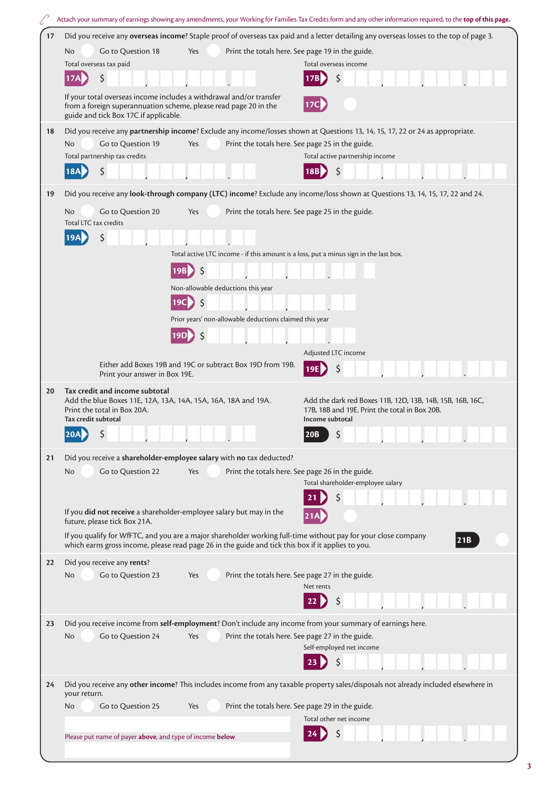| Did you receive any overseas income? Staple proof of overseas tax paid and a letter detailing any overseas losses to the top of page 3.<br>17<br>Go to Question 18<br>Print the totals here. See page 19 in the guide.<br>No.<br>Yes<br>Total overseas tax paid<br>Total overseas income<br>\$<br>\$<br>If your total overseas income includes a withdrawal and/or transfer |     |  |  |  |  |
|-----------------------------------------------------------------------------------------------------------------------------------------------------------------------------------------------------------------------------------------------------------------------------------------------------------------------------------------------------------------------------|-----|--|--|--|--|
|                                                                                                                                                                                                                                                                                                                                                                             |     |  |  |  |  |
|                                                                                                                                                                                                                                                                                                                                                                             |     |  |  |  |  |
|                                                                                                                                                                                                                                                                                                                                                                             |     |  |  |  |  |
|                                                                                                                                                                                                                                                                                                                                                                             |     |  |  |  |  |
| 17 <sub>C</sub><br>from a foreign superannuation scheme, please read page 20 in the<br>guide and tick Box 17C if applicable.                                                                                                                                                                                                                                                |     |  |  |  |  |
| Did you receive any partnership income? Exclude any income/losses shown at Questions 13, 14, 15, 17, 22 or 24 as appropriate.<br>18                                                                                                                                                                                                                                         |     |  |  |  |  |
| Go to Question 19<br>Print the totals here. See page 25 in the guide.<br>No.<br>Yes                                                                                                                                                                                                                                                                                         |     |  |  |  |  |
| Total partnership tax credits<br>Total active partnership income                                                                                                                                                                                                                                                                                                            |     |  |  |  |  |
| \$<br>\$<br>18A<br>18B                                                                                                                                                                                                                                                                                                                                                      |     |  |  |  |  |
| Did you receive any look-through company (LTC) income? Exclude any income/loss shown at Questions 13, 14, 15, 17, 22 and 24.<br>19                                                                                                                                                                                                                                          |     |  |  |  |  |
| Go to Question 20<br>Print the totals here. See page 25 in the guide.<br>No.<br>Yes<br>Total LTC tax credits                                                                                                                                                                                                                                                                |     |  |  |  |  |
| \$                                                                                                                                                                                                                                                                                                                                                                          |     |  |  |  |  |
| Total active LTC income - if this amount is a loss, put a minus sign in the last box.                                                                                                                                                                                                                                                                                       |     |  |  |  |  |
| \$<br>19B                                                                                                                                                                                                                                                                                                                                                                   |     |  |  |  |  |
| Non-allowable deductions this year                                                                                                                                                                                                                                                                                                                                          |     |  |  |  |  |
| $\zeta$<br>19Cl                                                                                                                                                                                                                                                                                                                                                             |     |  |  |  |  |
| Prior years' non-allowable deductions claimed this year                                                                                                                                                                                                                                                                                                                     |     |  |  |  |  |
| 19D                                                                                                                                                                                                                                                                                                                                                                         |     |  |  |  |  |
|                                                                                                                                                                                                                                                                                                                                                                             |     |  |  |  |  |
| Adjusted LTC income<br>Either add Boxes 19B and 19C or subtract Box 19D from 19B.<br>19E<br>Print your answer in Box 19E.                                                                                                                                                                                                                                                   |     |  |  |  |  |
| Tax credit and income subtotal<br>20<br>Add the blue Boxes 11E, 12A, 13A, 14A, 15A, 16A, 18A and 19A.<br>Add the dark red Boxes 11B, 12D, 13B, 14B, 15B, 16B, 16C,<br>Print the total in Box 20A.<br>17B, 18B and 19E. Print the total in Box 20B.<br>Tax credit subtotal<br>Income subtotal                                                                                |     |  |  |  |  |
| $\blacksquare$<br>$\overline{a}$<br>20B                                                                                                                                                                                                                                                                                                                                     |     |  |  |  |  |
| Did you receive a shareholder-employee salary with no tax deducted?<br>21                                                                                                                                                                                                                                                                                                   |     |  |  |  |  |
| Go to Question 22<br>Print the totals here. See page 26 in the guide.<br>No.<br>Yes                                                                                                                                                                                                                                                                                         |     |  |  |  |  |
| Total shareholder-employee salary                                                                                                                                                                                                                                                                                                                                           |     |  |  |  |  |
|                                                                                                                                                                                                                                                                                                                                                                             |     |  |  |  |  |
| If you did not receive a shareholder-employee salary but may in the<br>future, please tick Box 21A.                                                                                                                                                                                                                                                                         |     |  |  |  |  |
| If you qualify for WfFTC, and you are a major shareholder working full-time without pay for your close company                                                                                                                                                                                                                                                              |     |  |  |  |  |
| which earns gross income, please read page 26 in the guide and tick this box if it applies to you.                                                                                                                                                                                                                                                                          | 21B |  |  |  |  |
| Did you receive any rents?<br>22                                                                                                                                                                                                                                                                                                                                            |     |  |  |  |  |
| Go to Question 23<br>Print the totals here. See page 27 in the guide.<br>No.<br>Yes                                                                                                                                                                                                                                                                                         |     |  |  |  |  |
| Net rents                                                                                                                                                                                                                                                                                                                                                                   |     |  |  |  |  |
|                                                                                                                                                                                                                                                                                                                                                                             |     |  |  |  |  |
| Did you receive income from self-employment? Don't include any income from your summary of earnings here.<br>23                                                                                                                                                                                                                                                             |     |  |  |  |  |
| N <sub>o</sub><br>Go to Question 24<br>Print the totals here. See page 27 in the guide.<br>Yes                                                                                                                                                                                                                                                                              |     |  |  |  |  |
| Self-employed net income                                                                                                                                                                                                                                                                                                                                                    |     |  |  |  |  |
|                                                                                                                                                                                                                                                                                                                                                                             |     |  |  |  |  |
|                                                                                                                                                                                                                                                                                                                                                                             |     |  |  |  |  |
| Did you receive any other income? This includes income from any taxable property sales/disposals not already included elsewhere in<br>24<br>your return.                                                                                                                                                                                                                    |     |  |  |  |  |
| Go to Question 25<br>Print the totals here. See page 29 in the guide.<br>Yes<br>No.                                                                                                                                                                                                                                                                                         |     |  |  |  |  |
| Total other net income                                                                                                                                                                                                                                                                                                                                                      |     |  |  |  |  |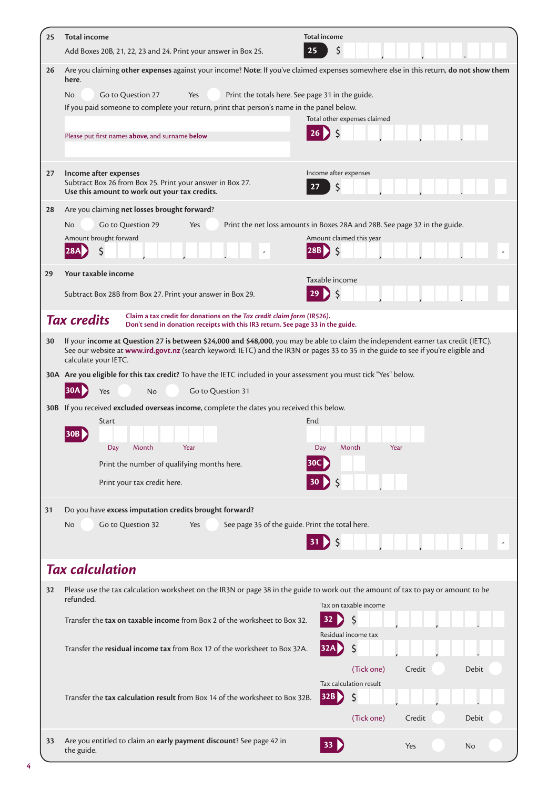| 25       | <b>Total income</b><br>Add Boxes 20B, 21, 22, 23 and 24. Print your answer in Box 25.                                                                                                                                                                                                             | <b>Total income</b><br>\$<br>25                                                                        |
|----------|---------------------------------------------------------------------------------------------------------------------------------------------------------------------------------------------------------------------------------------------------------------------------------------------------|--------------------------------------------------------------------------------------------------------|
| 26       | Are you claiming other expenses against your income? Note: If you've claimed expenses somewhere else in this return, do not show them                                                                                                                                                             |                                                                                                        |
|          | here.<br>Go to Question 27<br>Yes<br>No.<br>If you paid someone to complete your return, print that person's name in the panel below.<br>Please put first names above, and surname below                                                                                                          | Print the totals here. See page 31 in the guide.<br>Total other expenses claimed                       |
| 27       | Income after expenses<br>Subtract Box 26 from Box 25. Print your answer in Box 27.<br>Use this amount to work out your tax credits.                                                                                                                                                               | Income after expenses<br>\$<br>27                                                                      |
| 28<br>29 | Are you claiming net losses brought forward?<br>Go to Question 29<br>No.<br>Yes<br>Amount brought forward<br>Your taxable income                                                                                                                                                                  | Print the net loss amounts in Boxes 28A and 28B. See page 32 in the guide.<br>Amount claimed this year |
|          | Subtract Box 28B from Box 27. Print your answer in Box 29.                                                                                                                                                                                                                                        | Taxable income                                                                                         |
|          | Claim a tax credit for donations on the Tax credit claim form (IR526).<br><b>Tax credits</b><br>Don't send in donation receipts with this IR3 return. See page 33 in the guide.                                                                                                                   |                                                                                                        |
| 30       | If your income at Question 27 is between \$24,000 and \$48,000, you may be able to claim the independent earner tax credit (IETC).<br>See our website at www.ird.govt.nz (search keyword: IETC) and the IR3N or pages 33 to 35 in the guide to see if you're eligible and<br>calculate your IETC. |                                                                                                        |
|          | 30A Are you eligible for this tax credit? To have the IETC included in your assessment you must tick "Yes" below.<br>Go to Question 31<br>Yes<br><b>No</b><br>30B If you received excluded overseas income, complete the dates you received this below.                                           |                                                                                                        |
|          | Start<br>30В<br>Day<br>Month<br>Year<br>Print the number of qualifying months here.<br>Print your tax credit here.                                                                                                                                                                                | End<br>Day<br>Month<br>Year<br>30C                                                                     |
| 31       | Do you have excess imputation credits brought forward?                                                                                                                                                                                                                                            |                                                                                                        |
|          | Go to Question 32<br>See page 35 of the guide. Print the total here.<br>No.<br>Yes                                                                                                                                                                                                                | $31$ $\left\{5\right\}$                                                                                |
|          | <b>Tax calculation</b>                                                                                                                                                                                                                                                                            |                                                                                                        |
| 32       | Please use the tax calculation worksheet on the IR3N or page 38 in the guide to work out the amount of tax to pay or amount to be<br>refunded.                                                                                                                                                    | Tax on taxable income                                                                                  |
|          | Transfer the tax on taxable income from Box 2 of the worksheet to Box 32.                                                                                                                                                                                                                         | \$<br>32<br>Residual income tax                                                                        |
|          | Transfer the residual income tax from Box 12 of the worksheet to Box 32A.                                                                                                                                                                                                                         | \$<br>32A<br>(Tick one)<br>Credit<br><b>Debit</b><br>Tax calculation result                            |
|          | Transfer the tax calculation result from Box 14 of the worksheet to Box 32B.                                                                                                                                                                                                                      | \$<br>32B<br>(Tick one)<br>Credit<br>Debit                                                             |
| 33       | Are you entitled to claim an early payment discount? See page 42 in<br>the guide.                                                                                                                                                                                                                 | 33 <sup>1</sup><br>Yes<br>No                                                                           |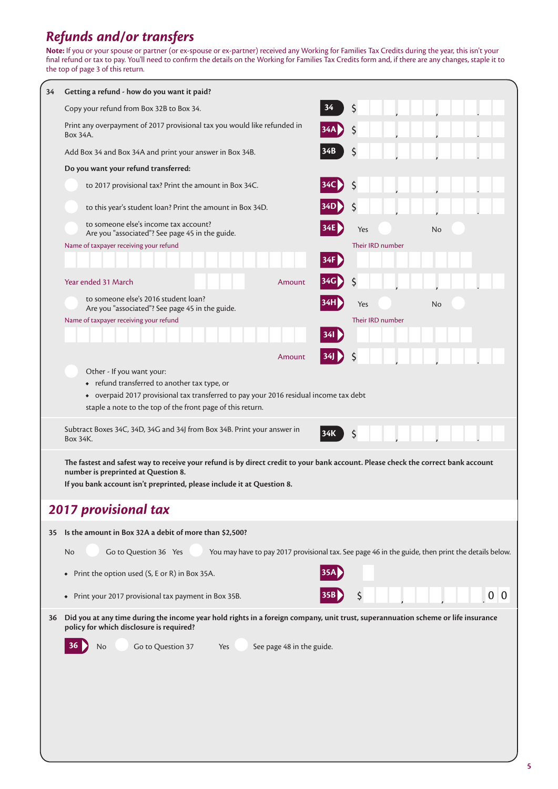## *Refunds and/or transfers*

**Note:** If you or your spouse or partner (or ex-spouse or ex-partner) received any Working for Families Tax Credits during the year, this isn't your final refund or tax to pay. You'll need to confirm the details on the Working for Families Tax Credits form and, if there are any changes, staple it to the top of page 3 of this return.

| 34 | Getting a refund - how do you want it paid?                                                                                       |       |                  |     |
|----|-----------------------------------------------------------------------------------------------------------------------------------|-------|------------------|-----|
|    | Copy your refund from Box 32B to Box 34.                                                                                          | 34    | \$               |     |
|    | Print any overpayment of 2017 provisional tax you would like refunded in<br>Box 34A.                                              |       | S                |     |
|    | Add Box 34 and Box 34A and print your answer in Box 34B.                                                                          |       |                  |     |
|    | Do you want your refund transferred:                                                                                              |       |                  |     |
|    | to 2017 provisional tax? Print the amount in Box 34C.                                                                             |       | Ś                |     |
|    | to this year's student loan? Print the amount in Box 34D.                                                                         |       |                  |     |
|    | to someone else's income tax account?<br>Are you "associated"? See page 45 in the guide.                                          |       | Yes              | No  |
|    | Name of taxpayer receiving your refund                                                                                            |       | Their IRD number |     |
|    |                                                                                                                                   | 34F I |                  |     |
|    | Year ended 31 March<br>Amount                                                                                                     |       | S                |     |
|    | to someone else's 2016 student loan?<br>Are you "associated"? See page 45 in the guide.                                           |       | Yes              | No  |
|    | Name of taxpayer receiving your refund                                                                                            |       | Their IRD number |     |
|    |                                                                                                                                   | 341   |                  |     |
|    | Amount                                                                                                                            |       |                  |     |
|    | Other - If you want your:<br>• refund transferred to another tax type, or                                                         |       |                  |     |
|    | • overpaid 2017 provisional tax transferred to pay your 2016 residual income tax debt                                             |       |                  |     |
|    | staple a note to the top of the front page of this return.                                                                        |       |                  |     |
|    | Subtract Boxes 34C, 34D, 34G and 34J from Box 34B. Print your answer in<br>Box 34K.                                               | 134K  | \$               |     |
|    | The fastest and safest way to receive your refund is by direct credit to your bank account. Please check the correct bank account |       |                  |     |
|    | number is preprinted at Question 8.<br>If you bank account isn't preprinted, please include it at Question 8.                     |       |                  |     |
|    |                                                                                                                                   |       |                  |     |
|    | <b>2017 provisional tax</b>                                                                                                       |       |                  |     |
| 35 | Is the amount in Box 32A a debit of more than \$2,500?                                                                            |       |                  |     |
|    | Go to Question 36 Yes<br>You may have to pay 2017 provisional tax. See page 46 in the guide, then print the details below.<br>No  |       |                  |     |
|    | Print the option used (S, E or R) in Box 35A.<br>$\bullet$                                                                        |       |                  |     |
|    | Print your 2017 provisional tax payment in Box 35B.<br>$\bullet$                                                                  |       |                  | 0 0 |
| 36 | Did you at any time during the income year hold rights in a foreign company, unit trust, superannuation scheme or life insurance  |       |                  |     |
|    | policy for which disclosure is required?                                                                                          |       |                  |     |
|    | Go to Question 37<br>No<br>See page 48 in the guide.<br>Yes                                                                       |       |                  |     |
|    |                                                                                                                                   |       |                  |     |
|    |                                                                                                                                   |       |                  |     |
|    |                                                                                                                                   |       |                  |     |
|    |                                                                                                                                   |       |                  |     |